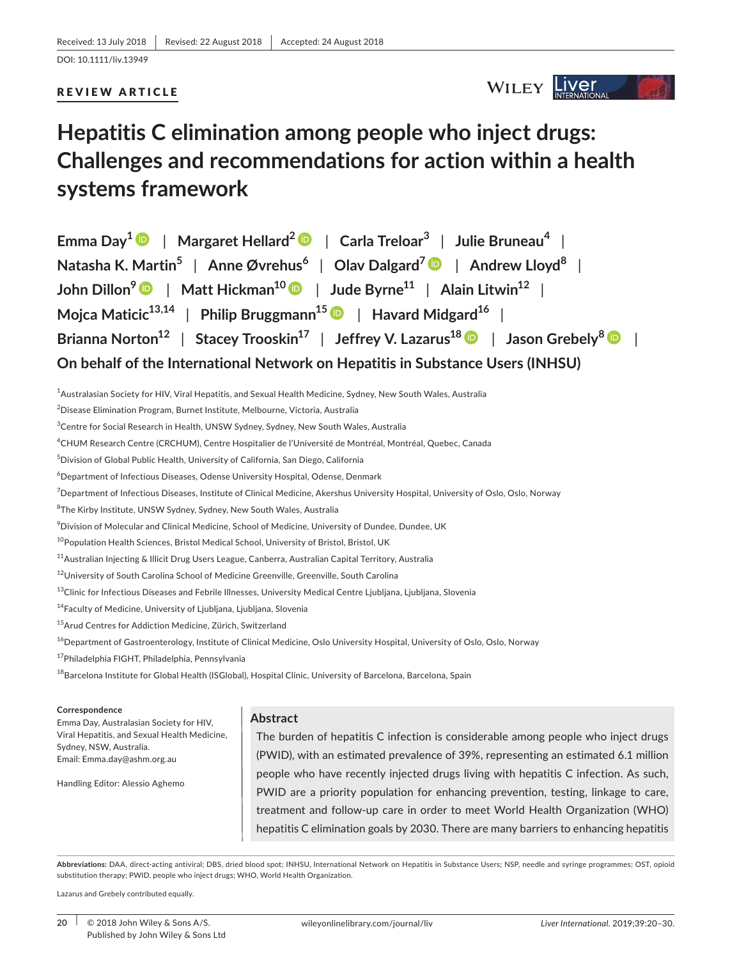# REVIEW ARTICLE



# **Hepatitis C elimination among people who inject drugs: Challenges and recommendations for action within a health systems framework**

| Emma Day $^{\mathbf{1}}$ $\bullet$ $\parallel$ Margaret Hellard $^{\mathbf{2}}$ $\bullet$ $\parallel$ Carla Treloar $^{\mathbf{3}}$ $\parallel$ Julie Bruneau $^{\mathbf{4}}$ $\parallel$ |  |
|-------------------------------------------------------------------------------------------------------------------------------------------------------------------------------------------|--|
| Natasha K. Martin $^5$   Anne Øvrehus $^6$   Olav Dalgard $^7$ D   Andrew Lloyd $^8$                                                                                                      |  |
| John Dillon $^9$ $\bullet$ $\,$ $\,$ Matt Hickman $^{10}$ $\bullet$ $\,$ $\,$ Jude Byrne $^{11}$ $\,$ $\,$ Alain Litwin $^{12}$ $\,$ $\,$ $\,$                                            |  |
| Mojca Maticic $^{13,14}$   Philip Bruggmann $^{15}$ D   Havard Midgard $^{16}$                                                                                                            |  |
|                                                                                                                                                                                           |  |
| On behalf of the International Network on Hepatitis in Substance Users (INHSU)                                                                                                            |  |

1 Australasian Society for HIV, Viral Hepatitis, and Sexual Health Medicine, Sydney, New South Wales, Australia

2 Disease Elimination Program, Burnet Institute, Melbourne, Victoria, Australia

<sup>3</sup>Centre for Social Research in Health, UNSW Sydney, Sydney, New South Wales, Australia

4 CHUM Research Centre (CRCHUM), Centre Hospitalier de l'Université de Montréal, Montréal, Quebec, Canada

5 Division of Global Public Health, University of California, San Diego, California

6 Department of Infectious Diseases, Odense University Hospital, Odense, Denmark

7 Department of Infectious Diseases, Institute of Clinical Medicine, Akershus University Hospital, University of Oslo, Oslo, Norway

8 The Kirby Institute, UNSW Sydney, Sydney, New South Wales, Australia

 $^9$ Division of Molecular and Clinical Medicine, School of Medicine, University of Dundee, Dundee, UK

<sup>10</sup> Population Health Sciences, Bristol Medical School, University of Bristol, Bristol, UK

<sup>11</sup>Australian Injecting & Illicit Drug Users League, Canberra, Australian Capital Territory, Australia

<sup>12</sup>University of South Carolina School of Medicine Greenville, Greenville, South Carolina

<sup>13</sup>Clinic for Infectious Diseases and Febrile Illnesses, University Medical Centre Ljubljana, Ljubljana, Slovenia

14Faculty of Medicine, University of Ljubljana, Ljubljana, Slovenia

<sup>15</sup>Arud Centres for Addiction Medicine, Zürich, Switzerland

<sup>16</sup>Department of Gastroenterology, Institute of Clinical Medicine, Oslo University Hospital, University of Oslo, Oslo, Norway

<sup>17</sup>Philadelphia FIGHT, Philadelphia, Pennsylvania

<sup>18</sup>Barcelona Institute for Global Health (ISGlobal), Hospital Clínic, University of Barcelona, Barcelona, Spain

#### **Correspondence**

Emma Day, Australasian Society for HIV, Viral Hepatitis, and Sexual Health Medicine, Sydney, NSW, Australia. Email: [Emma.day@ashm.org.au](mailto:Emma.day@ashm.org.au)

Handling Editor: Alessio Aghemo

## **Abstract**

The burden of hepatitis C infection is considerable among people who inject drugs (PWID), with an estimated prevalence of 39%, representing an estimated 6.1 million people who have recently injected drugs living with hepatitis C infection. As such, PWID are a priority population for enhancing prevention, testing, linkage to care, treatment and follow-up care in order to meet World Health Organization (WHO) hepatitis C elimination goals by 2030. There are many barriers to enhancing hepatitis

Abbreviations: DAA, direct-acting antiviral; DBS, dried blood spot; INHSU, International Network on Hepatitis in Substance Users; NSP, needle and syringe programmes; OST, opioid substitution therapy; PWID, people who inject drugs; WHO, World Health Organization.

Lazarus and Grebely contributed equally.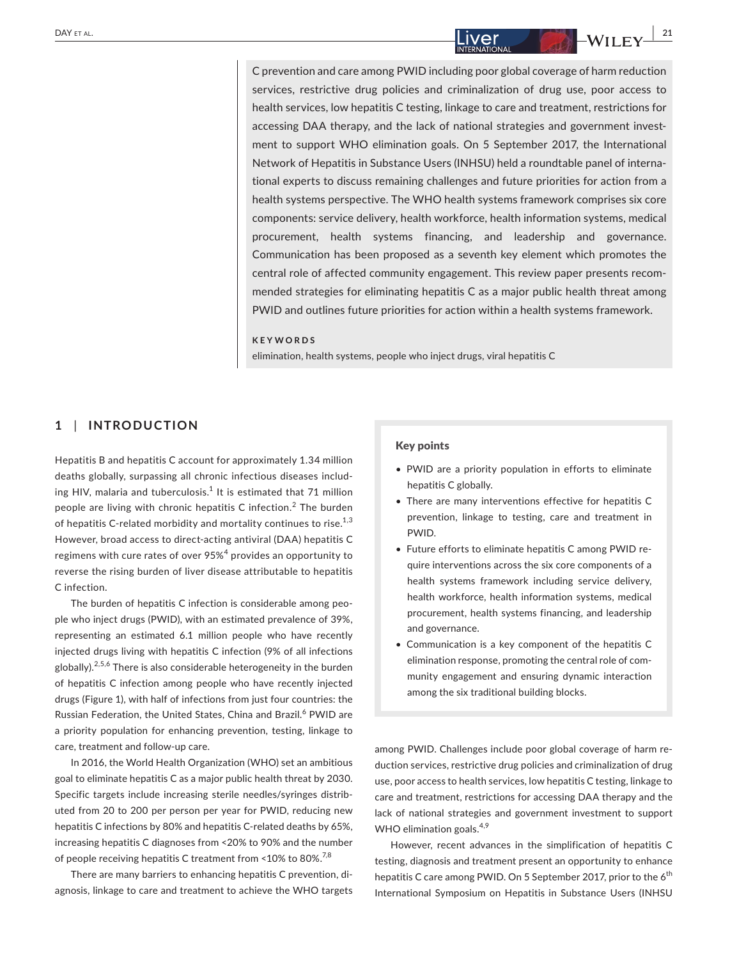# **DAY** ET AL. **21** *DAY* **ET AL. <b>21** *DAY* ET AL. **21** *DAY* ET AL. **21** *DAY* ET AL. **21** *D*

C prevention and care among PWID including poor global coverage of harm reduction services, restrictive drug policies and criminalization of drug use, poor access to health services, low hepatitis C testing, linkage to care and treatment, restrictions for accessing DAA therapy, and the lack of national strategies and government investment to support WHO elimination goals. On 5 September 2017, the International Network of Hepatitis in Substance Users (INHSU) held a roundtable panel of international experts to discuss remaining challenges and future priorities for action from a health systems perspective. The WHO health systems framework comprises six core components: service delivery, health workforce, health information systems, medical procurement, health systems financing, and leadership and governance. Communication has been proposed as a seventh key element which promotes the central role of affected community engagement. This review paper presents recommended strategies for eliminating hepatitis C as a major public health threat among PWID and outlines future priorities for action within a health systems framework.

#### **KEYWORDS**

elimination, health systems, people who inject drugs, viral hepatitis C

# **1** | **INTRODUCTION**

Hepatitis B and hepatitis C account for approximately 1.34 million deaths globally, surpassing all chronic infectious diseases including HIV, malaria and tuberculosis. $^1$  It is estimated that 71 million people are living with chronic hepatitis C infection. $^2$  The burden of hepatitis C-related morbidity and mortality continues to rise.<sup>1,3</sup> However, broad access to direct-acting antiviral (DAA) hepatitis C regimens with cure rates of over 95% $^4$  provides an opportunity to reverse the rising burden of liver disease attributable to hepatitis C infection.

The burden of hepatitis C infection is considerable among people who inject drugs (PWID), with an estimated prevalence of 39%, representing an estimated 6.1 million people who have recently injected drugs living with hepatitis C infection (9% of all infections globally).<sup>2,5,6</sup> There is also considerable heterogeneity in the burden of hepatitis C infection among people who have recently injected drugs (Figure 1), with half of infections from just four countries: the Russian Federation, the United States, China and Brazil.<sup>6</sup> PWID are a priority population for enhancing prevention, testing, linkage to care, treatment and follow-up care.

In 2016, the World Health Organization (WHO) set an ambitious goal to eliminate hepatitis C as a major public health threat by 2030. Specific targets include increasing sterile needles/syringes distributed from 20 to 200 per person per year for PWID, reducing new hepatitis C infections by 80% and hepatitis C-related deaths by 65%, increasing hepatitis C diagnoses from <20% to 90% and the number of people receiving hepatitis C treatment from  $\leq 10\%$  to 80%.<sup>7,8</sup>

There are many barriers to enhancing hepatitis C prevention, diagnosis, linkage to care and treatment to achieve the WHO targets

#### Key points

- PWID are a priority population in efforts to eliminate hepatitis C globally.
- There are many interventions effective for hepatitis C prevention, linkage to testing, care and treatment in PWID.
- Future efforts to eliminate hepatitis C among PWID require interventions across the six core components of a health systems framework including service delivery, health workforce, health information systems, medical procurement, health systems financing, and leadership and governance.
- Communication is a key component of the hepatitis C elimination response, promoting the central role of community engagement and ensuring dynamic interaction among the six traditional building blocks.

among PWID. Challenges include poor global coverage of harm reduction services, restrictive drug policies and criminalization of drug use, poor access to health services, low hepatitis C testing, linkage to care and treatment, restrictions for accessing DAA therapy and the lack of national strategies and government investment to support WHO elimination goals. $4,9$ 

However, recent advances in the simplification of hepatitis C testing, diagnosis and treatment present an opportunity to enhance hepatitis C care among PWID. On 5 September 2017, prior to the  $6<sup>th</sup>$ International Symposium on Hepatitis in Substance Users (INHSU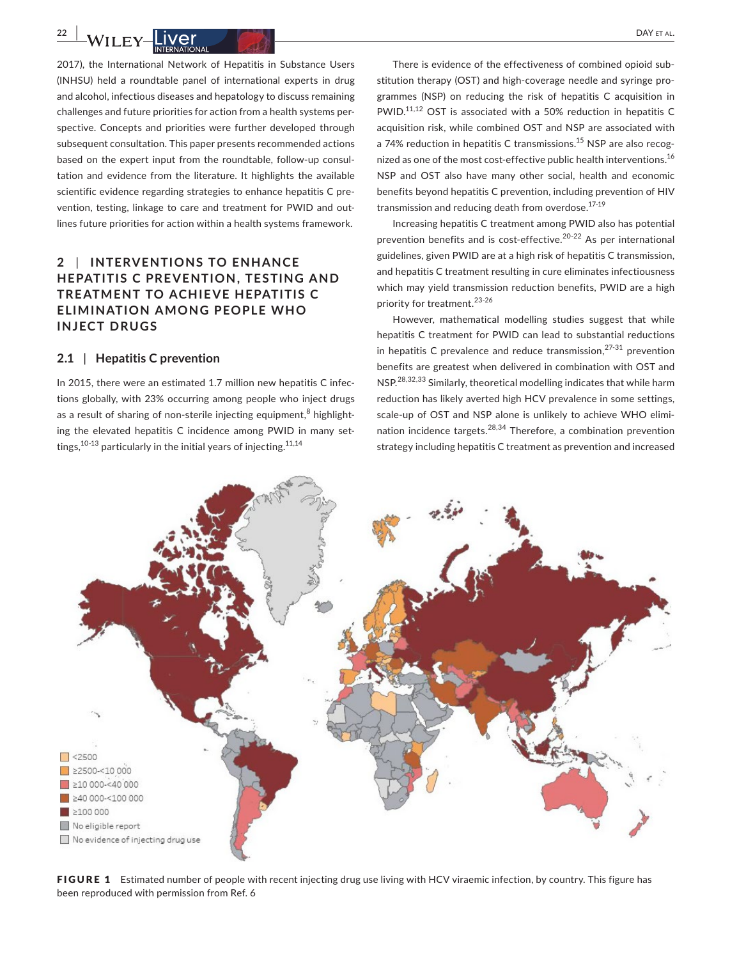2017), the International Network of Hepatitis in Substance Users (INHSU) held a roundtable panel of international experts in drug and alcohol, infectious diseases and hepatology to discuss remaining challenges and future priorities for action from a health systems perspective. Concepts and priorities were further developed through subsequent consultation. This paper presents recommended actions based on the expert input from the roundtable, follow-up consultation and evidence from the literature. It highlights the available scientific evidence regarding strategies to enhance hepatitis C prevention, testing, linkage to care and treatment for PWID and outlines future priorities for action within a health systems framework.

# **2** | **INTERVENTIONS TO ENHANCE HEPATITIS C PREVENTION, TESTING AND TREATMENT TO ACHIEVE HEPATITIS C ELIMINATION AMONG PEOPLE WHO INJECT DRUGS**

# **2.1** | **Hepatitis C prevention**

In 2015, there were an estimated 1.7 million new hepatitis C infections globally, with 23% occurring among people who inject drugs as a result of sharing of non-sterile injecting equipment,<sup>8</sup> highlighting the elevated hepatitis C incidence among PWID in many settings,  $10-13$  particularly in the initial years of injecting.  $11,14$ 

There is evidence of the effectiveness of combined opioid substitution therapy (OST) and high-coverage needle and syringe programmes (NSP) on reducing the risk of hepatitis C acquisition in PWID.<sup>11,12</sup> OST is associated with a 50% reduction in hepatitis C acquisition risk, while combined OST and NSP are associated with a 74% reduction in hepatitis C transmissions.<sup>15</sup> NSP are also recognized as one of the most cost-effective public health interventions.<sup>16</sup> NSP and OST also have many other social, health and economic benefits beyond hepatitis C prevention, including prevention of HIV transmission and reducing death from overdose.<sup>17-19</sup>

Increasing hepatitis C treatment among PWID also has potential prevention benefits and is cost-effective.<sup>20-22</sup> As per international guidelines, given PWID are at a high risk of hepatitis C transmission, and hepatitis C treatment resulting in cure eliminates infectiousness which may yield transmission reduction benefits, PWID are a high priority for treatment.<sup>23-26</sup>

However, mathematical modelling studies suggest that while hepatitis C treatment for PWID can lead to substantial reductions in hepatitis C prevalence and reduce transmission. $27-31$  prevention benefits are greatest when delivered in combination with OST and NSP.28,32,33 Similarly, theoretical modelling indicates that while harm reduction has likely averted high HCV prevalence in some settings, scale-up of OST and NSP alone is unlikely to achieve WHO elimination incidence targets.28,34 Therefore, a combination prevention strategy including hepatitis C treatment as prevention and increased



FIGURE 1 Estimated number of people with recent injecting drug use living with HCV viraemic infection, by country. This figure has been reproduced with permission from Ref. 6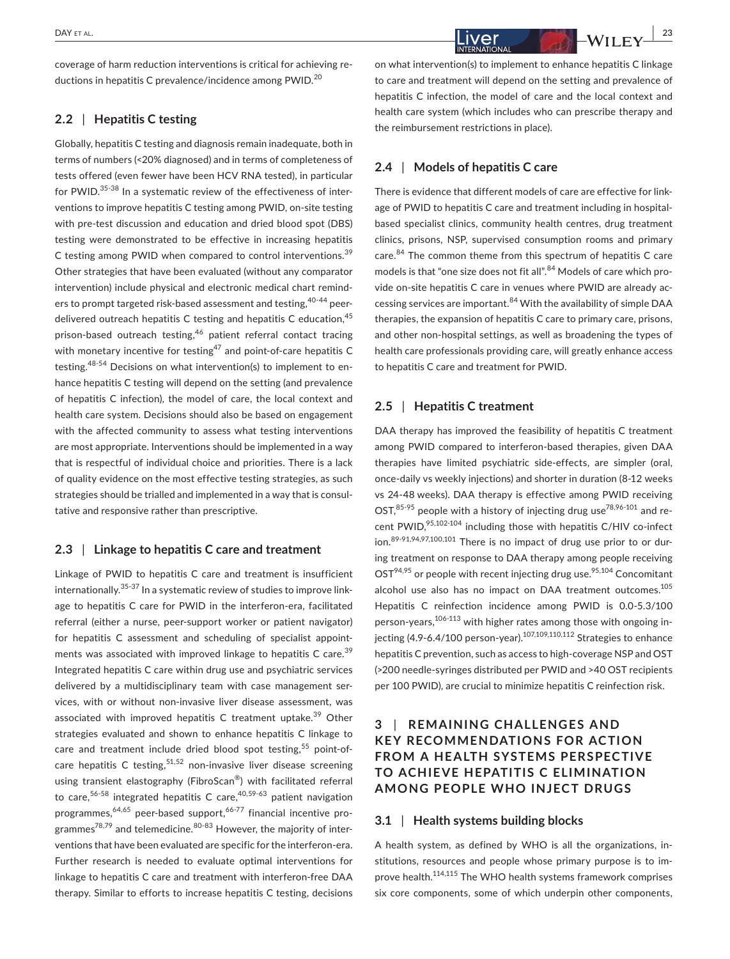coverage of harm reduction interventions is critical for achieving reductions in hepatitis C prevalence/incidence among PWID.<sup>20</sup>

# **2.2** | **Hepatitis C testing**

Globally, hepatitis C testing and diagnosis remain inadequate, both in terms of numbers (<20% diagnosed) and in terms of completeness of tests offered (even fewer have been HCV RNA tested), in particular for PWID.35-38 In a systematic review of the effectiveness of interventions to improve hepatitis C testing among PWID, on-site testing with pre-test discussion and education and dried blood spot (DBS) testing were demonstrated to be effective in increasing hepatitis C testing among PWID when compared to control interventions.<sup>39</sup> Other strategies that have been evaluated (without any comparator intervention) include physical and electronic medical chart reminders to prompt targeted risk-based assessment and testing,<sup>40-44</sup> peerdelivered outreach hepatitis  $C$  testing and hepatitis  $C$  education,  $45$ prison-based outreach testing,<sup>46</sup> patient referral contact tracing with monetary incentive for testing $47$  and point-of-care hepatitis C testing.48-54 Decisions on what intervention(s) to implement to enhance hepatitis C testing will depend on the setting (and prevalence of hepatitis C infection), the model of care, the local context and health care system. Decisions should also be based on engagement with the affected community to assess what testing interventions are most appropriate. Interventions should be implemented in a way that is respectful of individual choice and priorities. There is a lack of quality evidence on the most effective testing strategies, as such strategies should be trialled and implemented in a way that is consultative and responsive rather than prescriptive.

#### **2.3** | **Linkage to hepatitis C care and treatment**

Linkage of PWID to hepatitis C care and treatment is insufficient internationally.<sup>35-37</sup> In a systematic review of studies to improve linkage to hepatitis C care for PWID in the interferon-era, facilitated referral (either a nurse, peer-support worker or patient navigator) for hepatitis C assessment and scheduling of specialist appointments was associated with improved linkage to hepatitis C care.<sup>39</sup> Integrated hepatitis C care within drug use and psychiatric services delivered by a multidisciplinary team with case management services, with or without non-invasive liver disease assessment, was associated with improved hepatitis C treatment uptake.<sup>39</sup> Other strategies evaluated and shown to enhance hepatitis C linkage to care and treatment include dried blood spot testing,<sup>55</sup> point-ofcare hepatitis C testing,  $51,52$  non-invasive liver disease screening using transient elastography (FibroScan®) with facilitated referral to care,<sup>56-58</sup> integrated hepatitis C care,<sup>40,59-63</sup> patient navigation programmes,  $64,65$  peer-based support,  $66-77$  financial incentive programmes<sup>78,79</sup> and telemedicine.<sup>80-83</sup> However, the majority of interventions that have been evaluated are specific for the interferon-era. Further research is needed to evaluate optimal interventions for linkage to hepatitis C care and treatment with interferon-free DAA therapy. Similar to efforts to increase hepatitis C testing, decisions on what intervention(s) to implement to enhance hepatitis C linkage to care and treatment will depend on the setting and prevalence of hepatitis C infection, the model of care and the local context and health care system (which includes who can prescribe therapy and the reimbursement restrictions in place).

## **2.4** | **Models of hepatitis C care**

There is evidence that different models of care are effective for linkage of PWID to hepatitis C care and treatment including in hospitalbased specialist clinics, community health centres, drug treatment clinics, prisons, NSP, supervised consumption rooms and primary care.<sup>84</sup> The common theme from this spectrum of hepatitis C care models is that "one size does not fit all".<sup>84</sup> Models of care which provide on-site hepatitis C care in venues where PWID are already accessing services are important.<sup>84</sup> With the availability of simple DAA therapies, the expansion of hepatitis C care to primary care, prisons, and other non-hospital settings, as well as broadening the types of health care professionals providing care, will greatly enhance access to hepatitis C care and treatment for PWID.

# **2.5** | **Hepatitis C treatment**

DAA therapy has improved the feasibility of hepatitis C treatment among PWID compared to interferon-based therapies, given DAA therapies have limited psychiatric side-effects, are simpler (oral, once-daily vs weekly injections) and shorter in duration (8-12 weeks vs 24-48 weeks). DAA therapy is effective among PWID receiving OST, $85-95$  people with a history of injecting drug use<sup>78,96-101</sup> and recent PWID,<sup>95,102-104</sup> including those with hepatitis C/HIV co-infect ion.<sup>89-91,94,97,100,101</sup> There is no impact of drug use prior to or during treatment on response to DAA therapy among people receiving  $OST<sup>94,95</sup>$  or people with recent injecting drug use.<sup>95,104</sup> Concomitant alcohol use also has no impact on DAA treatment outcomes.<sup>105</sup> Hepatitis C reinfection incidence among PWID is 0.0-5.3/100 person-years,<sup>106-113</sup> with higher rates among those with ongoing injecting  $(4.9-6.4/100$  person-year).<sup>107,109,110,112</sup> Strategies to enhance hepatitis C prevention, such as access to high-coverage NSP and OST (>200 needle-syringes distributed per PWID and >40 OST recipients per 100 PWID), are crucial to minimize hepatitis C reinfection risk.

# **3** | **REMAINING CHALLENGES AND KEY RECOMMENDATIONS FOR ACTION FROM A HEALTH SYSTEMS PERSPECTIVE TO ACHIE VE HEPATITIS C ELIMINATION AMONG PEOPLE WHO INJECT DRUGS**

## **3.1** | **Health systems building blocks**

A health system, as defined by WHO is all the organizations, institutions, resources and people whose primary purpose is to improve health.<sup>114,115</sup> The WHO health systems framework comprises six core components, some of which underpin other components,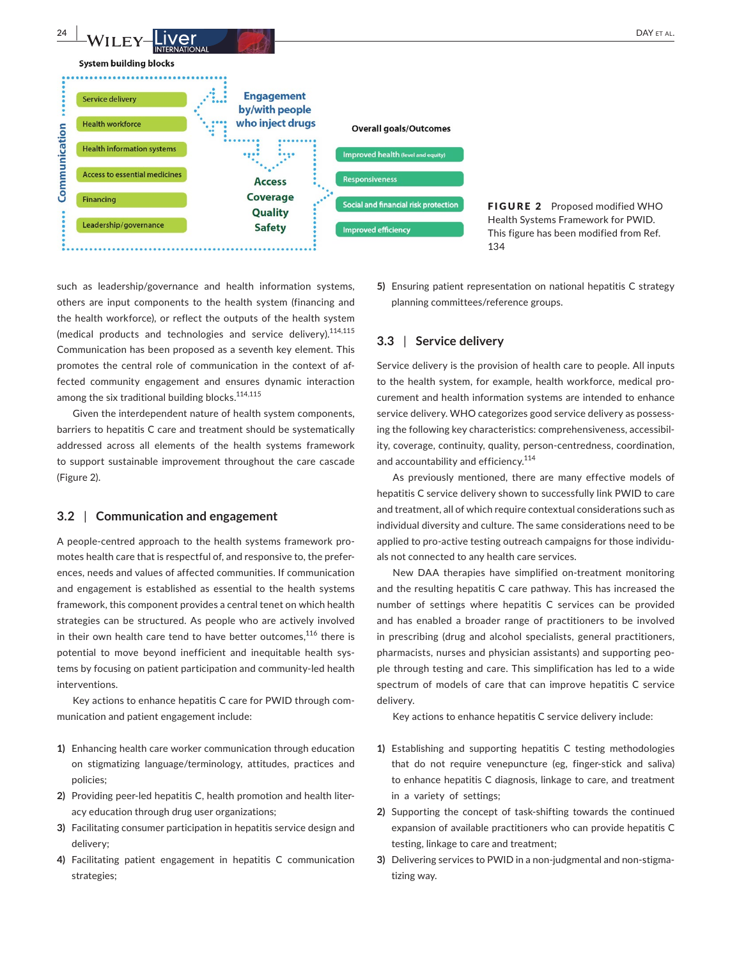



FIGURE 2 Proposed modified WHO Health Systems Framework for PWID. This figure has been modified from Ref. 134

such as leadership/governance and health information systems, others are input components to the health system (financing and the health workforce), or reflect the outputs of the health system (medical products and technologies and service delivery).114,115 Communication has been proposed as a seventh key element. This promotes the central role of communication in the context of affected community engagement and ensures dynamic interaction among the six traditional building blocks.<sup>114,115</sup>

Given the interdependent nature of health system components, barriers to hepatitis C care and treatment should be systematically addressed across all elements of the health systems framework to support sustainable improvement throughout the care cascade (Figure 2).

#### **3.2** | **Communication and engagement**

A people-centred approach to the health systems framework promotes health care that is respectful of, and responsive to, the preferences, needs and values of affected communities. If communication and engagement is established as essential to the health systems framework, this component provides a central tenet on which health strategies can be structured. As people who are actively involved in their own health care tend to have better outcomes.<sup>116</sup> there is potential to move beyond inefficient and inequitable health systems by focusing on patient participation and community-led health interventions.

Key actions to enhance hepatitis C care for PWID through communication and patient engagement include:

- **1)** Enhancing health care worker communication through education on stigmatizing language/terminology, attitudes, practices and policies;
- **2)** Providing peer-led hepatitis C, health promotion and health literacy education through drug user organizations;
- **3)** Facilitating consumer participation in hepatitis service design and delivery;
- **4)** Facilitating patient engagement in hepatitis C communication strategies;

**5)** Ensuring patient representation on national hepatitis C strategy planning committees/reference groups.

#### **3.3** | **Service delivery**

Service delivery is the provision of health care to people. All inputs to the health system, for example, health workforce, medical procurement and health information systems are intended to enhance service delivery. WHO categorizes good service delivery as possessing the following key characteristics: comprehensiveness, accessibility, coverage, continuity, quality, person-centredness, coordination, and accountability and efficiency.<sup>114</sup>

As previously mentioned, there are many effective models of hepatitis C service delivery shown to successfully link PWID to care and treatment, all of which require contextual considerations such as individual diversity and culture. The same considerations need to be applied to pro-active testing outreach campaigns for those individuals not connected to any health care services.

New DAA therapies have simplified on-treatment monitoring and the resulting hepatitis C care pathway. This has increased the number of settings where hepatitis C services can be provided and has enabled a broader range of practitioners to be involved in prescribing (drug and alcohol specialists, general practitioners, pharmacists, nurses and physician assistants) and supporting people through testing and care. This simplification has led to a wide spectrum of models of care that can improve hepatitis C service delivery.

Key actions to enhance hepatitis C service delivery include:

- **1)** Establishing and supporting hepatitis C testing methodologies that do not require venepuncture (eg, finger-stick and saliva) to enhance hepatitis C diagnosis, linkage to care, and treatment in a variety of settings;
- **2)** Supporting the concept of task-shifting towards the continued expansion of available practitioners who can provide hepatitis C testing, linkage to care and treatment;
- **3)** Delivering services to PWID in a non-judgmental and non-stigmatizing way.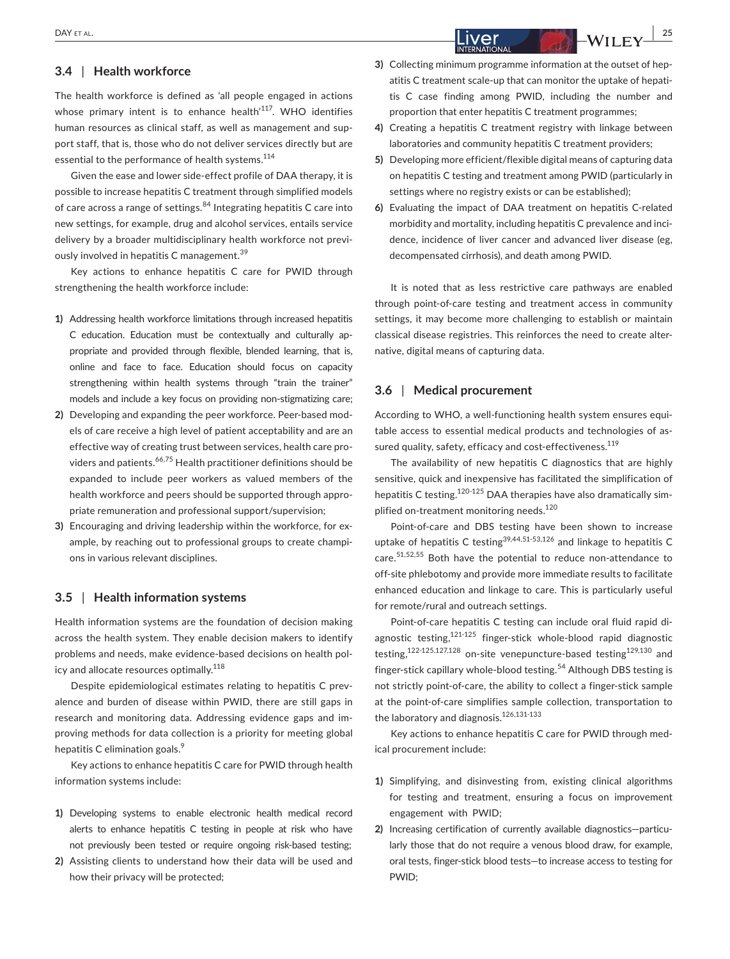#### **3.4** | **Health workforce**

The health workforce is defined as 'all people engaged in actions whose primary intent is to enhance health $117$ . WHO identifies human resources as clinical staff, as well as management and support staff, that is, those who do not deliver services directly but are essential to the performance of health systems.<sup>114</sup>

Given the ease and lower side-effect profile of DAA therapy, it is possible to increase hepatitis C treatment through simplified models of care across a range of settings.<sup>84</sup> Integrating hepatitis C care into new settings, for example, drug and alcohol services, entails service delivery by a broader multidisciplinary health workforce not previously involved in hepatitis C management.<sup>39</sup>

Key actions to enhance hepatitis C care for PWID through strengthening the health workforce include:

- **1)** Addressing health workforce limitations through increased hepatitis C education. Education must be contextually and culturally appropriate and provided through flexible, blended learning, that is, online and face to face. Education should focus on capacity strengthening within health systems through "train the trainer" models and include a key focus on providing non-stigmatizing care;
- **2)** Developing and expanding the peer workforce. Peer-based models of care receive a high level of patient acceptability and are an effective way of creating trust between services, health care providers and patients.<sup>66,75</sup> Health practitioner definitions should be expanded to include peer workers as valued members of the health workforce and peers should be supported through appropriate remuneration and professional support/supervision;
- **3)** Encouraging and driving leadership within the workforce, for example, by reaching out to professional groups to create champions in various relevant disciplines.

#### **3.5** | **Health information systems**

Health information systems are the foundation of decision making across the health system. They enable decision makers to identify problems and needs, make evidence-based decisions on health policy and allocate resources optimally.<sup>118</sup>

Despite epidemiological estimates relating to hepatitis C prevalence and burden of disease within PWID, there are still gaps in research and monitoring data. Addressing evidence gaps and improving methods for data collection is a priority for meeting global hepatitis C elimination goals.<sup>9</sup>

Key actions to enhance hepatitis C care for PWID through health information systems include:

- **1)** Developing systems to enable electronic health medical record alerts to enhance hepatitis C testing in people at risk who have not previously been tested or require ongoing risk-based testing;
- **2)** Assisting clients to understand how their data will be used and how their privacy will be protected;
- **3)** Collecting minimum programme information at the outset of hepatitis C treatment scale-up that can monitor the uptake of hepatitis C case finding among PWID, including the number and proportion that enter hepatitis C treatment programmes;
- **4)** Creating a hepatitis C treatment registry with linkage between laboratories and community hepatitis C treatment providers;
- **5)** Developing more efficient/flexible digital means of capturing data on hepatitis C testing and treatment among PWID (particularly in settings where no registry exists or can be established);
- **6)** Evaluating the impact of DAA treatment on hepatitis C-related morbidity and mortality, including hepatitis C prevalence and incidence, incidence of liver cancer and advanced liver disease (eg, decompensated cirrhosis), and death among PWID.

It is noted that as less restrictive care pathways are enabled through point-of-care testing and treatment access in community settings, it may become more challenging to establish or maintain classical disease registries. This reinforces the need to create alternative, digital means of capturing data.

#### **3.6** | **Medical procurement**

According to WHO, a well-functioning health system ensures equitable access to essential medical products and technologies of assured quality, safety, efficacy and cost-effectiveness.<sup>119</sup>

The availability of new hepatitis C diagnostics that are highly sensitive, quick and inexpensive has facilitated the simplification of hepatitis C testing.<sup>120-125</sup> DAA therapies have also dramatically simplified on-treatment monitoring needs.<sup>120</sup>

Point-of-care and DBS testing have been shown to increase uptake of hepatitis C testing<sup>39,44,51-53,126</sup> and linkage to hepatitis C care.51,52,55 Both have the potential to reduce non-attendance to off-site phlebotomy and provide more immediate results to facilitate enhanced education and linkage to care. This is particularly useful for remote/rural and outreach settings.

Point-of-care hepatitis C testing can include oral fluid rapid diagnostic testing, $121-125$  finger-stick whole-blood rapid diagnostic testing, $122.125,127,128$  on-site venepuncture-based testing $129,130$  and finger-stick capillary whole-blood testing.<sup>54</sup> Although DBS testing is not strictly point-of-care, the ability to collect a finger-stick sample at the point-of-care simplifies sample collection, transportation to the laboratory and diagnosis.126,131-133

Key actions to enhance hepatitis C care for PWID through medical procurement include:

- **1)** Simplifying, and disinvesting from, existing clinical algorithms for testing and treatment, ensuring a focus on improvement engagement with PWID;
- **2)** Increasing certification of currently available diagnostics—particularly those that do not require a venous blood draw, for example, oral tests, finger-stick blood tests—to increase access to testing for PWID;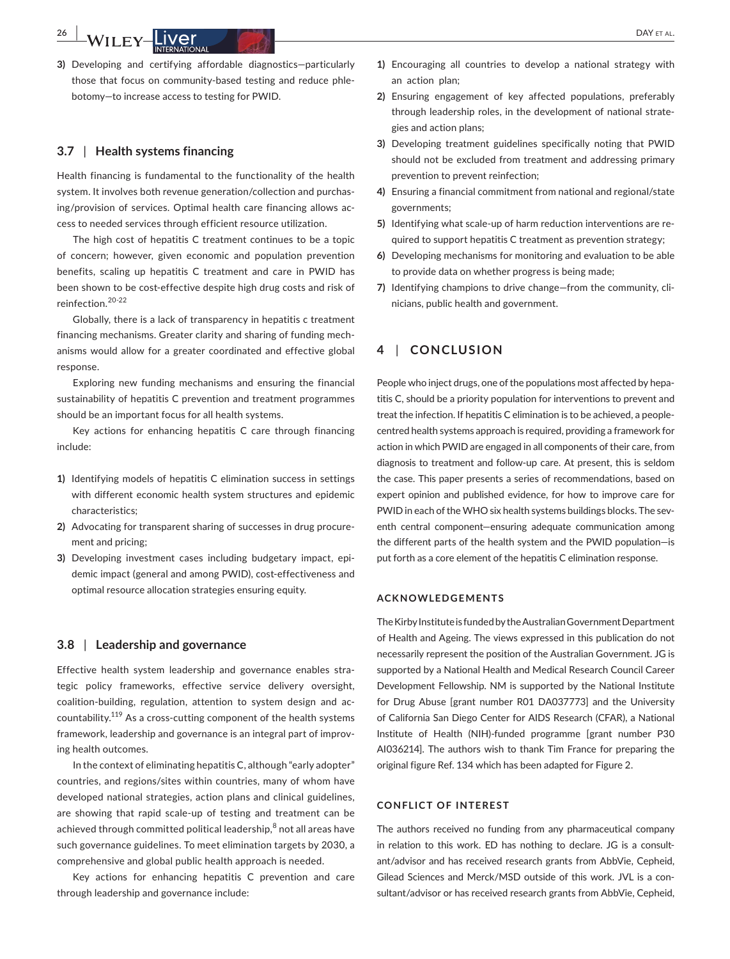**3)** Developing and certifying affordable diagnostics—particularly those that focus on community-based testing and reduce phlebotomy—to increase access to testing for PWID.

#### **3.7** | **Health systems financing**

Health financing is fundamental to the functionality of the health system. It involves both revenue generation/collection and purchasing/provision of services. Optimal health care financing allows access to needed services through efficient resource utilization.

The high cost of hepatitis C treatment continues to be a topic of concern; however, given economic and population prevention benefits, scaling up hepatitis C treatment and care in PWID has been shown to be cost-effective despite high drug costs and risk of reinfection.20-22

Globally, there is a lack of transparency in hepatitis c treatment financing mechanisms. Greater clarity and sharing of funding mechanisms would allow for a greater coordinated and effective global response.

Exploring new funding mechanisms and ensuring the financial sustainability of hepatitis C prevention and treatment programmes should be an important focus for all health systems.

Key actions for enhancing hepatitis C care through financing include:

- **1)** Identifying models of hepatitis C elimination success in settings with different economic health system structures and epidemic characteristics;
- **2)** Advocating for transparent sharing of successes in drug procurement and pricing;
- **3)** Developing investment cases including budgetary impact, epidemic impact (general and among PWID), cost-effectiveness and optimal resource allocation strategies ensuring equity.

#### **3.8** | **Leadership and governance**

Effective health system leadership and governance enables strategic policy frameworks, effective service delivery oversight, coalition-building, regulation, attention to system design and accountability.<sup>119</sup> As a cross-cutting component of the health systems framework, leadership and governance is an integral part of improving health outcomes.

In the context of eliminating hepatitis C, although "early adopter" countries, and regions/sites within countries, many of whom have developed national strategies, action plans and clinical guidelines, are showing that rapid scale-up of testing and treatment can be achieved through committed political leadership, $^8$  not all areas have such governance guidelines. To meet elimination targets by 2030, a comprehensive and global public health approach is needed.

Key actions for enhancing hepatitis C prevention and care through leadership and governance include:

- **2)** Ensuring engagement of key affected populations, preferably through leadership roles, in the development of national strategies and action plans;
- **3)** Developing treatment guidelines specifically noting that PWID should not be excluded from treatment and addressing primary prevention to prevent reinfection;
- **4)** Ensuring a financial commitment from national and regional/state governments;
- **5)** Identifying what scale-up of harm reduction interventions are required to support hepatitis C treatment as prevention strategy;
- **6)** Developing mechanisms for monitoring and evaluation to be able to provide data on whether progress is being made;
- **7)** Identifying champions to drive change—from the community, clinicians, public health and government.

# **4** | **CONCLUSION**

an action plan;

People who inject drugs, one of the populations most affected by hepatitis C, should be a priority population for interventions to prevent and treat the infection. If hepatitis C elimination is to be achieved, a peoplecentred health systems approach is required, providing a framework for action in which PWID are engaged in all components of their care, from diagnosis to treatment and follow-up care. At present, this is seldom the case. This paper presents a series of recommendations, based on expert opinion and published evidence, for how to improve care for PWID in each of the WHO six health systems buildings blocks. The seventh central component—ensuring adequate communication among the different parts of the health system and the PWID population—is put forth as a core element of the hepatitis C elimination response.

#### **ACKNOWLEDGEMENTS**

The Kirby Institute is funded by the Australian Government Department of Health and Ageing. The views expressed in this publication do not necessarily represent the position of the Australian Government. JG is supported by a National Health and Medical Research Council Career Development Fellowship. NM is supported by the National Institute for Drug Abuse [grant number R01 DA037773] and the University of California San Diego Center for AIDS Research (CFAR), a National Institute of Health (NIH)-funded programme [grant number P30 AI036214]. The authors wish to thank Tim France for preparing the original figure Ref. 134 which has been adapted for Figure 2.

# **CONFLICT OF INTEREST**

The authors received no funding from any pharmaceutical company in relation to this work. ED has nothing to declare. JG is a consultant/advisor and has received research grants from AbbVie, Cepheid, Gilead Sciences and Merck/MSD outside of this work. JVL is a consultant/advisor or has received research grants from AbbVie, Cepheid,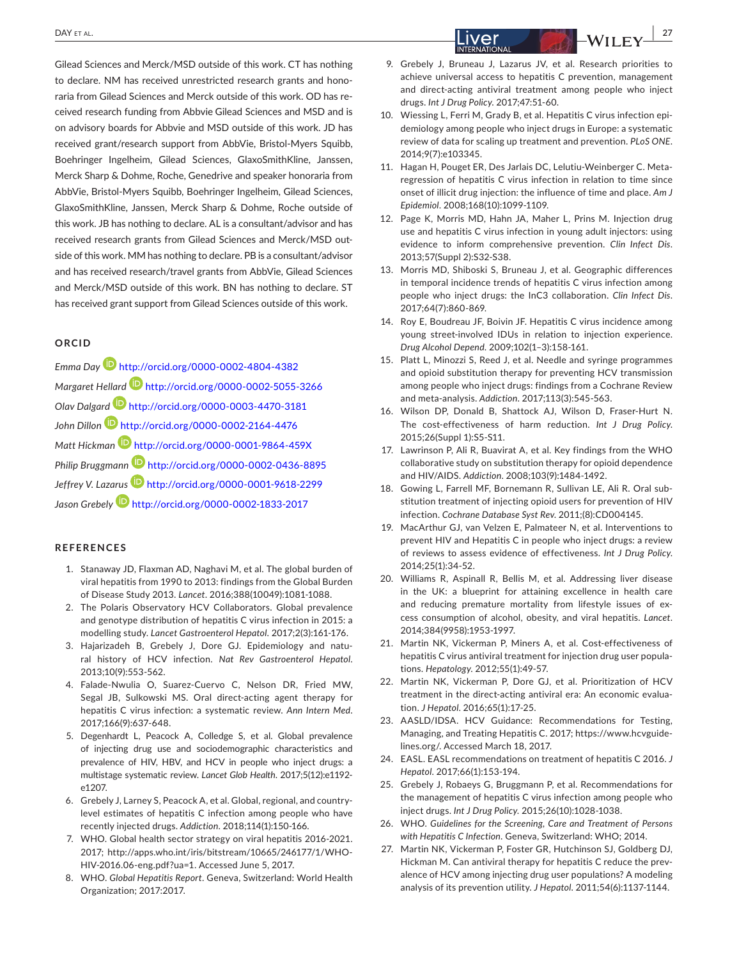Gilead Sciences and Merck/MSD outside of this work. CT has nothing to declare. NM has received unrestricted research grants and honoraria from Gilead Sciences and Merck outside of this work. OD has received research funding from Abbvie Gilead Sciences and MSD and is on advisory boards for Abbvie and MSD outside of this work. JD has received grant/research support from AbbVie, Bristol-Myers Squibb, Boehringer Ingelheim, Gilead Sciences, GlaxoSmithKline, Janssen, Merck Sharp & Dohme, Roche, Genedrive and speaker honoraria from AbbVie, Bristol-Myers Squibb, Boehringer Ingelheim, Gilead Sciences, GlaxoSmithKline, Janssen, Merck Sharp & Dohme, Roche outside of this work. JB has nothing to declare. AL is a consultant/advisor and has received research grants from Gilead Sciences and Merck/MSD outside of this work. MM has nothing to declare. PB is a consultant/advisor and has received research/travel grants from AbbVie, Gilead Sciences and Merck/MSD outside of this work. BN has nothing to declare. ST has received grant support from Gilead Sciences outside of this work.

#### **ORCID**

*Emma Day* <http://orcid.org/0000-0002-4804-4382> *Margaret Hellard* <http://orcid.org/0000-0002-5055-3266> *Olav Dalgard* <http://orcid.org/0000-0003-4470-3181> *John Dillon* <http://orcid.org/0000-0002-2164-4476> Matt Hickman<sup>D</sup> <http://orcid.org/0000-0001-9864-459X> *Philip Bruggmann* <http://orcid.org/0000-0002-0436-8895> *Jeffrey V. Lazaru[s](http://orcid.org/0000-0001-9618-2299)* <http://orcid.org/0000-0001-9618-2299> *Jason Grebel[y](http://orcid.org/0000-0002-1833-2017)* <http://orcid.org/0000-0002-1833-2017>

# **REFERENCES**

- 1. Stanaway JD, Flaxman AD, Naghavi M, et al. The global burden of viral hepatitis from 1990 to 2013: findings from the Global Burden of Disease Study 2013. *Lancet*. 2016;388(10049):1081‐1088.
- 2. The Polaris Observatory HCV Collaborators. Global prevalence and genotype distribution of hepatitis C virus infection in 2015: a modelling study. *Lancet Gastroenterol Hepatol*. 2017;2(3):161‐176.
- 3. Hajarizadeh B, Grebely J, Dore GJ. Epidemiology and natural history of HCV infection. *Nat Rev Gastroenterol Hepatol*. 2013;10(9):553‐562.
- 4. Falade-Nwulia O, Suarez-Cuervo C, Nelson DR, Fried MW, Segal JB, Sulkowski MS. Oral direct-acting agent therapy for hepatitis C virus infection: a systematic review. *Ann Intern Med*. 2017;166(9):637‐648.
- 5. Degenhardt L, Peacock A, Colledge S, et al. Global prevalence of injecting drug use and sociodemographic characteristics and prevalence of HIV, HBV, and HCV in people who inject drugs: a multistage systematic review. *Lancet Glob Health*. 2017;5(12):e1192‐ e1207.
- 6. Grebely J, Larney S, Peacock A, et al. Global, regional, and countrylevel estimates of hepatitis C infection among people who have recently injected drugs. *Addiction*. 2018;114(1):150‐166.
- 7. WHO. Global health sector strategy on viral hepatitis 2016-2021. 2017; [http://apps.who.int/iris/bitstream/10665/246177/1/WHO-](http://apps.who.int/iris/bitstream/10665/246177/1/WHO-HIV-2016.06-eng.pdf?ua=1)[HIV-2016.06-eng.pdf?ua=1.](http://apps.who.int/iris/bitstream/10665/246177/1/WHO-HIV-2016.06-eng.pdf?ua=1) Accessed June 5, 2017.
- 8. WHO. *Global Hepatitis Report*. Geneva, Switzerland: World Health Organization; 2017:2017.
- 9. Grebely J, Bruneau J, Lazarus JV, et al. Research priorities to achieve universal access to hepatitis C prevention, management and direct-acting antiviral treatment among people who inject drugs. *Int J Drug Policy*. 2017;47:51‐60.
- 10. Wiessing L, Ferri M, Grady B, et al. Hepatitis C virus infection epidemiology among people who inject drugs in Europe: a systematic review of data for scaling up treatment and prevention. *PLoS ONE*. 2014;9(7):e103345.
- 11. Hagan H, Pouget ER, Des Jarlais DC, Lelutiu-Weinberger C. Metaregression of hepatitis C virus infection in relation to time since onset of illicit drug injection: the influence of time and place. *Am J Epidemiol*. 2008;168(10):1099‐1109.
- 12. Page K, Morris MD, Hahn JA, Maher L, Prins M. Injection drug use and hepatitis C virus infection in young adult injectors: using evidence to inform comprehensive prevention. *Clin Infect Dis*. 2013;57(Suppl 2):S32‐S38.
- 13. Morris MD, Shiboski S, Bruneau J, et al. Geographic differences in temporal incidence trends of hepatitis C virus infection among people who inject drugs: the InC3 collaboration. *Clin Infect Dis*. 2017;64(7):860‐869.
- 14. Roy E, Boudreau JF, Boivin JF. Hepatitis C virus incidence among young street-involved IDUs in relation to injection experience. *Drug Alcohol Depend*. 2009;102(1–3):158‐161.
- 15. Platt L, Minozzi S, Reed J, et al. Needle and syringe programmes and opioid substitution therapy for preventing HCV transmission among people who inject drugs: findings from a Cochrane Review and meta-analysis. *Addiction*. 2017;113(3):545‐563.
- 16. Wilson DP, Donald B, Shattock AJ, Wilson D, Fraser-Hurt N. The cost-effectiveness of harm reduction. *Int J Drug Policy*. 2015;26(Suppl 1):S5‐S11.
- 17. Lawrinson P, Ali R, Buavirat A, et al. Key findings from the WHO collaborative study on substitution therapy for opioid dependence and HIV/AIDS. *Addiction*. 2008;103(9):1484‐1492.
- 18. Gowing L, Farrell MF, Bornemann R, Sullivan LE, Ali R. Oral substitution treatment of injecting opioid users for prevention of HIV infection. *Cochrane Database Syst Rev*. 2011;(8):CD004145.
- 19. MacArthur GJ, van Velzen E, Palmateer N, et al. Interventions to prevent HIV and Hepatitis C in people who inject drugs: a review of reviews to assess evidence of effectiveness. *Int J Drug Policy*. 2014;25(1):34‐52.
- 20. Williams R, Aspinall R, Bellis M, et al. Addressing liver disease in the UK: a blueprint for attaining excellence in health care and reducing premature mortality from lifestyle issues of excess consumption of alcohol, obesity, and viral hepatitis. *Lancet*. 2014;384(9958):1953‐1997.
- 21. Martin NK, Vickerman P, Miners A, et al. Cost-effectiveness of hepatitis C virus antiviral treatment for injection drug user populations. *Hepatology*. 2012;55(1):49‐57.
- 22. Martin NK, Vickerman P, Dore GJ, et al. Prioritization of HCV treatment in the direct-acting antiviral era: An economic evaluation. *J Hepatol*. 2016;65(1):17‐25.
- 23. AASLD/IDSA. HCV Guidance: Recommendations for Testing, Managing, and Treating Hepatitis C. 2017; [https://www.hcvguide](https://www.hcvguidelines.org/)[lines.org/](https://www.hcvguidelines.org/). Accessed March 18, 2017.
- 24. EASL. EASL recommendations on treatment of hepatitis C 2016. *J Hepatol*. 2017;66(1):153‐194.
- 25. Grebely J, Robaeys G, Bruggmann P, et al. Recommendations for the management of hepatitis C virus infection among people who inject drugs. *Int J Drug Policy*. 2015;26(10):1028‐1038.
- 26. WHO. *Guidelines for the Screening, Care and Treatment of Persons with Hepatitis C Infection*. Geneva, Switzerland: WHO; 2014.
- 27. Martin NK, Vickerman P, Foster GR, Hutchinson SJ, Goldberg DJ, Hickman M. Can antiviral therapy for hepatitis C reduce the prevalence of HCV among injecting drug user populations? A modeling analysis of its prevention utility. *J Hepatol*. 2011;54(6):1137‐1144.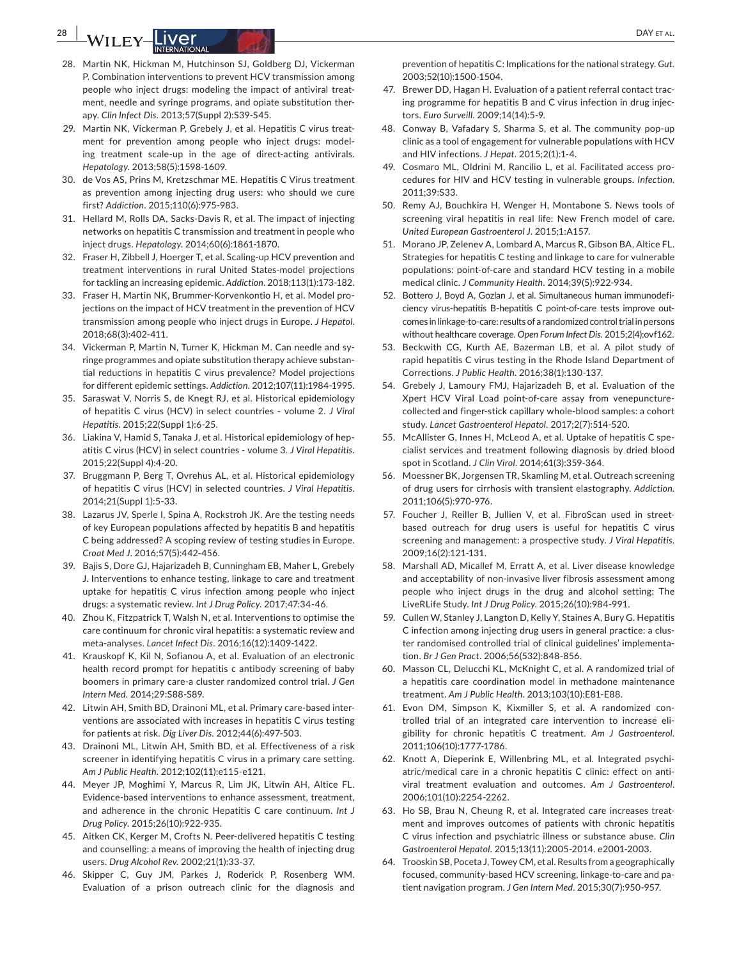- **28 |A/ILEY** |**DAYETAL.**
- 28. Martin NK, Hickman M, Hutchinson SJ, Goldberg DJ, Vickerman P. Combination interventions to prevent HCV transmission among people who inject drugs: modeling the impact of antiviral treatment, needle and syringe programs, and opiate substitution therapy. *Clin Infect Dis*. 2013;57(Suppl 2):S39‐S45.
- 29. Martin NK, Vickerman P, Grebely J, et al. Hepatitis C virus treatment for prevention among people who inject drugs: modeling treatment scale-up in the age of direct-acting antivirals. *Hepatology*. 2013;58(5):1598‐1609.
- 30. de Vos AS, Prins M, Kretzschmar ME. Hepatitis C Virus treatment as prevention among injecting drug users: who should we cure first? *Addiction*. 2015;110(6):975‐983.
- 31. Hellard M, Rolls DA, Sacks-Davis R, et al. The impact of injecting networks on hepatitis C transmission and treatment in people who inject drugs. *Hepatology*. 2014;60(6):1861‐1870.
- 32. Fraser H, Zibbell J, Hoerger T, et al. Scaling-up HCV prevention and treatment interventions in rural United States-model projections for tackling an increasing epidemic. *Addiction*. 2018;113(1):173‐182.
- 33. Fraser H, Martin NK, Brummer-Korvenkontio H, et al. Model projections on the impact of HCV treatment in the prevention of HCV transmission among people who inject drugs in Europe. *J Hepatol*. 2018;68(3):402‐411.
- 34. Vickerman P, Martin N, Turner K, Hickman M. Can needle and syringe programmes and opiate substitution therapy achieve substantial reductions in hepatitis C virus prevalence? Model projections for different epidemic settings. *Addiction*. 2012;107(11):1984‐1995.
- 35. Saraswat V, Norris S, de Knegt RJ, et al. Historical epidemiology of hepatitis C virus (HCV) in select countries - volume 2. *J Viral Hepatitis*. 2015;22(Suppl 1):6‐25.
- 36. Liakina V, Hamid S, Tanaka J, et al. Historical epidemiology of hepatitis C virus (HCV) in select countries - volume 3. *J Viral Hepatitis*. 2015;22(Suppl 4):4‐20.
- 37. Bruggmann P, Berg T, Ovrehus AL, et al. Historical epidemiology of hepatitis C virus (HCV) in selected countries. *J Viral Hepatitis*. 2014;21(Suppl 1):5‐33.
- 38. Lazarus JV, Sperle I, Spina A, Rockstroh JK. Are the testing needs of key European populations affected by hepatitis B and hepatitis C being addressed? A scoping review of testing studies in Europe. *Croat Med J*. 2016;57(5):442‐456.
- 39. Bajis S, Dore GJ, Hajarizadeh B, Cunningham EB, Maher L, Grebely J. Interventions to enhance testing, linkage to care and treatment uptake for hepatitis C virus infection among people who inject drugs: a systematic review. *Int J Drug Policy*. 2017;47:34‐46.
- 40. Zhou K, Fitzpatrick T, Walsh N, et al. Interventions to optimise the care continuum for chronic viral hepatitis: a systematic review and meta-analyses. *Lancet Infect Dis*. 2016;16(12):1409‐1422.
- 41. Krauskopf K, Kil N, Sofianou A, et al. Evaluation of an electronic health record prompt for hepatitis c antibody screening of baby boomers in primary care-a cluster randomized control trial. *J Gen Intern Med*. 2014;29:S88‐S89.
- 42. Litwin AH, Smith BD, Drainoni ML, et al. Primary care-based interventions are associated with increases in hepatitis C virus testing for patients at risk. *Dig Liver Dis*. 2012;44(6):497‐503.
- 43. Drainoni ML, Litwin AH, Smith BD, et al. Effectiveness of a risk screener in identifying hepatitis C virus in a primary care setting. *Am J Public Health*. 2012;102(11):e115‐e121.
- 44. Meyer JP, Moghimi Y, Marcus R, Lim JK, Litwin AH, Altice FL. Evidence-based interventions to enhance assessment, treatment, and adherence in the chronic Hepatitis C care continuum. *Int J Drug Policy*. 2015;26(10):922‐935.
- 45. Aitken CK, Kerger M, Crofts N. Peer-delivered hepatitis C testing and counselling: a means of improving the health of injecting drug users. *Drug Alcohol Rev*. 2002;21(1):33‐37.
- 46. Skipper C, Guy JM, Parkes J, Roderick P, Rosenberg WM. Evaluation of a prison outreach clinic for the diagnosis and

prevention of hepatitis C: Implications for the national strategy. *Gut*. 2003;52(10):1500‐1504.

- 47. Brewer DD, Hagan H. Evaluation of a patient referral contact tracing programme for hepatitis B and C virus infection in drug injectors. *Euro Surveill*. 2009;14(14):5‐9.
- 48. Conway B, Vafadary S, Sharma S, et al. The community pop-up clinic as a tool of engagement for vulnerable populations with HCV and HIV infections. *J Hepat*. 2015;2(1):1‐4.
- 49. Cosmaro ML, Oldrini M, Rancilio L, et al. Facilitated access procedures for HIV and HCV testing in vulnerable groups. *Infection*. 2011;39:S33.
- 50. Remy AJ, Bouchkira H, Wenger H, Montabone S. News tools of screening viral hepatitis in real life: New French model of care. *United European Gastroenterol J*. 2015;1:A157.
- 51. Morano JP, Zelenev A, Lombard A, Marcus R, Gibson BA, Altice FL. Strategies for hepatitis C testing and linkage to care for vulnerable populations: point-of-care and standard HCV testing in a mobile medical clinic. *J Community Health*. 2014;39(5):922‐934.
- 52. Bottero J, Boyd A, Gozlan J, et al. Simultaneous human immunodeficiency virus-hepatitis B-hepatitis C point-of-care tests improve outcomes in linkage-to-care: results of a randomized control trial in persons without healthcare coverage. *Open Forum Infect Dis*. 2015;2(4):ovf162.
- 53. Beckwith CG, Kurth AE, Bazerman LB, et al. A pilot study of rapid hepatitis C virus testing in the Rhode Island Department of Corrections. *J Public Health*. 2016;38(1):130‐137.
- 54. Grebely J, Lamoury FMJ, Hajarizadeh B, et al. Evaluation of the Xpert HCV Viral Load point-of-care assay from venepuncturecollected and finger-stick capillary whole-blood samples: a cohort study. *Lancet Gastroenterol Hepatol*. 2017;2(7):514‐520.
- 55. McAllister G, Innes H, McLeod A, et al. Uptake of hepatitis C specialist services and treatment following diagnosis by dried blood spot in Scotland. *J Clin Virol*. 2014;61(3):359‐364.
- 56. Moessner BK, Jorgensen TR, Skamling M, et al. Outreach screening of drug users for cirrhosis with transient elastography. *Addiction*. 2011;106(5):970‐976.
- 57. Foucher J, Reiller B, Jullien V, et al. FibroScan used in streetbased outreach for drug users is useful for hepatitis C virus screening and management: a prospective study. *J Viral Hepatitis*. 2009;16(2):121‐131.
- 58. Marshall AD, Micallef M, Erratt A, et al. Liver disease knowledge and acceptability of non-invasive liver fibrosis assessment among people who inject drugs in the drug and alcohol setting: The LiveRLife Study. *Int J Drug Policy*. 2015;26(10):984‐991.
- 59. Cullen W, Stanley J, Langton D, Kelly Y, Staines A, Bury G. Hepatitis C infection among injecting drug users in general practice: a cluster randomised controlled trial of clinical guidelines' implementation. *Br J Gen Pract*. 2006;56(532):848‐856.
- 60. Masson CL, Delucchi KL, McKnight C, et al. A randomized trial of a hepatitis care coordination model in methadone maintenance treatment. *Am J Public Health*. 2013;103(10):E81‐E88.
- 61. Evon DM, Simpson K, Kixmiller S, et al. A randomized controlled trial of an integrated care intervention to increase eligibility for chronic hepatitis C treatment. *Am J Gastroenterol*. 2011;106(10):1777‐1786.
- 62. Knott A, Dieperink E, Willenbring ML, et al. Integrated psychiatric/medical care in a chronic hepatitis C clinic: effect on antiviral treatment evaluation and outcomes. *Am J Gastroenterol*. 2006;101(10):2254‐2262.
- 63. Ho SB, Brau N, Cheung R, et al. Integrated care increases treatment and improves outcomes of patients with chronic hepatitis C virus infection and psychiatric illness or substance abuse. *Clin Gastroenterol Hepatol*. 2015;13(11):2005‐2014. e2001-2003.
- 64. Trooskin SB, Poceta J, Towey CM, et al. Results from a geographically focused, community-based HCV screening, linkage-to-care and patient navigation program. *J Gen Intern Med*. 2015;30(7):950‐957.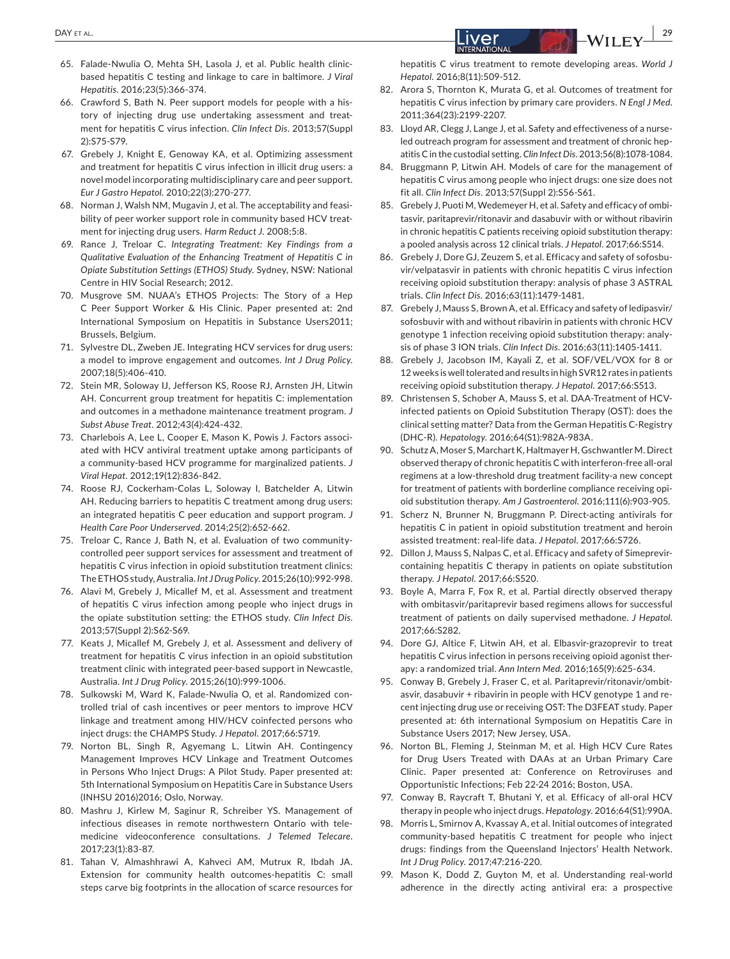- 65. Falade-Nwulia O, Mehta SH, Lasola J, et al. Public health clinicbased hepatitis C testing and linkage to care in baltimore. *J Viral Hepatitis*. 2016;23(5):366‐374.
- 66. Crawford S, Bath N. Peer support models for people with a history of injecting drug use undertaking assessment and treatment for hepatitis C virus infection. *Clin Infect Dis*. 2013;57(Suppl 2):S75‐S79.
- 67. Grebely J, Knight E, Genoway KA, et al. Optimizing assessment and treatment for hepatitis C virus infection in illicit drug users: a novel model incorporating multidisciplinary care and peer support. *Eur J Gastro Hepatol*. 2010;22(3):270‐277.
- 68. Norman J, Walsh NM, Mugavin J, et al. The acceptability and feasibility of peer worker support role in community based HCV treatment for injecting drug users. *Harm Reduct J*. 2008;5:8.
- 69. Rance J, Treloar C. *Integrating Treatment: Key Findings from a Qualitative Evaluation of the Enhancing Treatment of Hepatitis C in Opiate Substitution Settings (ETHOS) Study*. Sydney, NSW: National Centre in HIV Social Research; 2012.
- 70. Musgrove SM. NUAA's ETHOS Projects: The Story of a Hep C Peer Support Worker & His Clinic. Paper presented at: 2nd International Symposium on Hepatitis in Substance Users2011; Brussels, Belgium.
- 71. Sylvestre DL, Zweben JE. Integrating HCV services for drug users: a model to improve engagement and outcomes. *Int J Drug Policy*. 2007;18(5):406‐410.
- 72. Stein MR, Soloway IJ, Jefferson KS, Roose RJ, Arnsten JH, Litwin AH. Concurrent group treatment for hepatitis C: implementation and outcomes in a methadone maintenance treatment program. *J Subst Abuse Treat*. 2012;43(4):424‐432.
- 73. Charlebois A, Lee L, Cooper E, Mason K, Powis J. Factors associated with HCV antiviral treatment uptake among participants of a community-based HCV programme for marginalized patients. *J Viral Hepat*. 2012;19(12):836‐842.
- 74. Roose RJ, Cockerham-Colas L, Soloway I, Batchelder A, Litwin AH. Reducing barriers to hepatitis C treatment among drug users: an integrated hepatitis C peer education and support program. *J Health Care Poor Underserved*. 2014;25(2):652‐662.
- 75. Treloar C, Rance J, Bath N, et al. Evaluation of two communitycontrolled peer support services for assessment and treatment of hepatitis C virus infection in opioid substitution treatment clinics: The ETHOS study, Australia. *Int J Drug Policy*. 2015;26(10):992‐998.
- 76. Alavi M, Grebely J, Micallef M, et al. Assessment and treatment of hepatitis C virus infection among people who inject drugs in the opiate substitution setting: the ETHOS study. *Clin Infect Dis*. 2013;57(Suppl 2):S62‐S69.
- 77. Keats J, Micallef M, Grebely J, et al. Assessment and delivery of treatment for hepatitis C virus infection in an opioid substitution treatment clinic with integrated peer-based support in Newcastle, Australia. *Int J Drug Policy*. 2015;26(10):999‐1006.
- 78. Sulkowski M, Ward K, Falade-Nwulia O, et al. Randomized controlled trial of cash incentives or peer mentors to improve HCV linkage and treatment among HIV/HCV coinfected persons who inject drugs: the CHAMPS Study. *J Hepatol*. 2017;66:S719.
- 79. Norton BL, Singh R, Agyemang L, Litwin AH. Contingency Management Improves HCV Linkage and Treatment Outcomes in Persons Who Inject Drugs: A Pilot Study. Paper presented at: 5th International Symposium on Hepatitis Care in Substance Users (INHSU 2016)2016; Oslo, Norway.
- 80. Mashru J, Kirlew M, Saginur R, Schreiber YS. Management of infectious diseases in remote northwestern Ontario with telemedicine videoconference consultations. *J Telemed Telecare*. 2017;23(1):83‐87.
- 81. Tahan V, Almashhrawi A, Kahveci AM, Mutrux R, Ibdah JA. Extension for community health outcomes-hepatitis C: small steps carve big footprints in the allocation of scarce resources for

hepatitis C virus treatment to remote developing areas. *World J Hepatol*. 2016;8(11):509‐512.

- 82. Arora S, Thornton K, Murata G, et al. Outcomes of treatment for hepatitis C virus infection by primary care providers. *N Engl J Med*. 2011;364(23):2199‐2207.
- 83. Lloyd AR, Clegg J, Lange J, et al. Safety and effectiveness of a nurseled outreach program for assessment and treatment of chronic hepatitis C in the custodial setting. *Clin Infect Dis*. 2013;56(8):1078‐1084.
- 84. Bruggmann P, Litwin AH. Models of care for the management of hepatitis C virus among people who inject drugs: one size does not fit all. *Clin Infect Dis*. 2013;57(Suppl 2):S56‐S61.
- 85. Grebely J, Puoti M, Wedemeyer H, et al. Safety and efficacy of ombitasvir, paritaprevir/ritonavir and dasabuvir with or without ribavirin in chronic hepatitis C patients receiving opioid substitution therapy: a pooled analysis across 12 clinical trials. *J Hepatol*. 2017;66:S514.
- 86. Grebely J, Dore GJ, Zeuzem S, et al. Efficacy and safety of sofosbuvir/velpatasvir in patients with chronic hepatitis C virus infection receiving opioid substitution therapy: analysis of phase 3 ASTRAL trials. *Clin Infect Dis*. 2016;63(11):1479‐1481.
- 87. Grebely J, Mauss S, Brown A, et al. Efficacy and safety of ledipasvir/ sofosbuvir with and without ribavirin in patients with chronic HCV genotype 1 infection receiving opioid substitution therapy: analysis of phase 3 ION trials. *Clin Infect Dis*. 2016;63(11):1405‐1411.
- 88. Grebely J, Jacobson IM, Kayali Z, et al. SOF/VEL/VOX for 8 or 12weeks is well tolerated and results in high SVR12 rates in patients receiving opioid substitution therapy. *J Hepatol*. 2017;66:S513.
- 89. Christensen S, Schober A, Mauss S, et al. DAA-Treatment of HCVinfected patients on Opioid Substitution Therapy (OST): does the clinical setting matter? Data from the German Hepatitis C-Registry (DHC-R). *Hepatology*. 2016;64(S1):982A‐983A.
- 90. Schutz A, Moser S, Marchart K, Haltmayer H, Gschwantler M. Direct observed therapy of chronic hepatitis C with interferon-free all-oral regimens at a low-threshold drug treatment facility-a new concept for treatment of patients with borderline compliance receiving opioid substitution therapy. *Am J Gastroenterol*. 2016;111(6):903‐905.
- 91. Scherz N, Brunner N, Bruggmann P. Direct-acting antivirals for hepatitis C in patient in opioid substitution treatment and heroin assisted treatment: real-life data. *J Hepatol*. 2017;66:S726.
- 92. Dillon J, Mauss S, Nalpas C, et al. Efficacy and safety of Simeprevircontaining hepatitis C therapy in patients on opiate substitution therapy. *J Hepatol*. 2017;66:S520.
- 93. Boyle A, Marra F, Fox R, et al. Partial directly observed therapy with ombitasvir/paritaprevir based regimens allows for successful treatment of patients on daily supervised methadone. *J Hepatol*. 2017;66:S282.
- 94. Dore GJ, Altice F, Litwin AH, et al. Elbasvir-grazoprevir to treat hepatitis C virus infection in persons receiving opioid agonist therapy: a randomized trial. *Ann Intern Med*. 2016;165(9):625‐634.
- 95. Conway B, Grebely J, Fraser C, et al. Paritaprevir/ritonavir/ombitasvir, dasabuvir + ribavirin in people with HCV genotype 1 and recent injecting drug use or receiving OST: The D3FEAT study. Paper presented at: 6th international Symposium on Hepatitis Care in Substance Users 2017; New Jersey, USA.
- 96. Norton BL, Fleming J, Steinman M, et al. High HCV Cure Rates for Drug Users Treated with DAAs at an Urban Primary Care Clinic. Paper presented at: Conference on Retroviruses and Opportunistic Infections; Feb 22-24 2016; Boston, USA.
- 97. Conway B, Raycraft T, Bhutani Y, et al. Efficacy of all-oral HCV therapy in people who inject drugs. *Hepatology*. 2016;64(S1):990A.
- 98. Morris L, Smirnov A, Kvassay A, et al. Initial outcomes of integrated community-based hepatitis C treatment for people who inject drugs: findings from the Queensland Injectors' Health Network. *Int J Drug Policy*. 2017;47:216‐220.
- 99. Mason K, Dodd Z, Guyton M, et al. Understanding real-world adherence in the directly acting antiviral era: a prospective